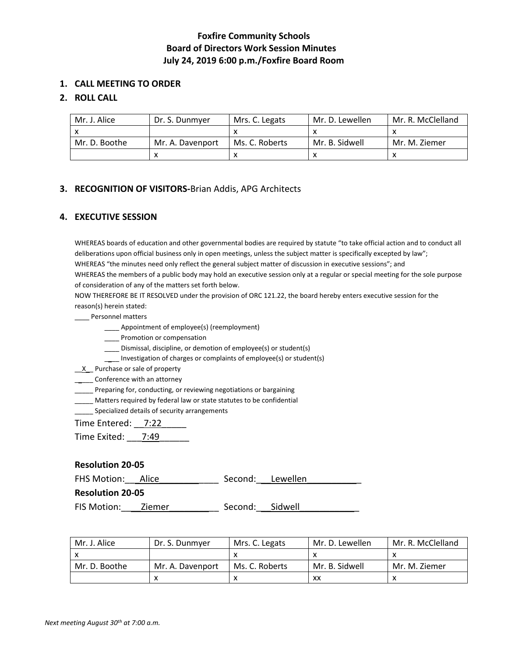# **Foxfire Community Schools Board of Directors Work Session Minutes July 24, 2019 6:00 p.m./Foxfire Board Room**

## **1. CALL MEETING TO ORDER**

## **2. ROLL CALL**

| Mr. J. Alice  | Dr. S. Dunmyer   | Mrs. C. Legats | Mr. D. Lewellen | Mr. R. McClelland |
|---------------|------------------|----------------|-----------------|-------------------|
|               |                  |                |                 |                   |
| Mr. D. Boothe | Mr. A. Davenport | Ms. C. Roberts | Mr. B. Sidwell  | Mr. M. Ziemer     |
|               |                  |                |                 |                   |

## **3. RECOGNITION OF VISITORS-**Brian Addis, APG Architects

## **4. EXECUTIVE SESSION**

WHEREAS boards of education and other governmental bodies are required by statute "to take official action and to conduct all deliberations upon official business only in open meetings, unless the subject matter is specifically excepted by law"; WHEREAS "the minutes need only reflect the general subject matter of discussion in executive sessions"; and WHEREAS the members of a public body may hold an executive session only at a regular or special meeting for the sole purpose of consideration of any of the matters set forth below.

NOW THEREFORE BE IT RESOLVED under the provision of ORC 121.22, the board hereby enters executive session for the reason(s) herein stated:

\_\_\_\_ Personnel matters

- \_\_\_\_ Appointment of employee(s) (reemployment)
- \_\_\_\_ Promotion or compensation
- \_\_\_\_ Dismissal, discipline, or demotion of employee(s) or student(s)
- \_\_\_\_ Investigation of charges or complaints of employee(s) or student(s)

 $X$  Purchase or sale of property

**\_\_\_\_\_** Conference with an attorney

\_\_\_\_\_ Preparing for, conducting, or reviewing negotiations or bargaining

\_\_\_\_\_ Matters required by federal law or state statutes to be confidential

Specialized details of security arrangements

Time Entered: \_\_ 7:22

Time Exited: 7:49

## **Resolution 20-05**

FHS Motion: <u>Alice Alice</u> Recond: Lewellen

#### **Resolution 20-05**

FIS Motion: \_\_\_\_Ziemer \_\_\_\_\_\_\_\_\_\_\_\_\_\_\_ Second: \_\_\_Sidwell

| Mr. J. Alice  | Dr. S. Dunmver   | Mrs. C. Legats | Mr. D. Lewellen | Mr. R. McClelland |
|---------------|------------------|----------------|-----------------|-------------------|
|               |                  |                |                 |                   |
| Mr. D. Boothe | Mr. A. Davenport | Ms. C. Roberts | Mr. B. Sidwell  | Mr. M. Ziemer     |
|               |                  |                | xх              |                   |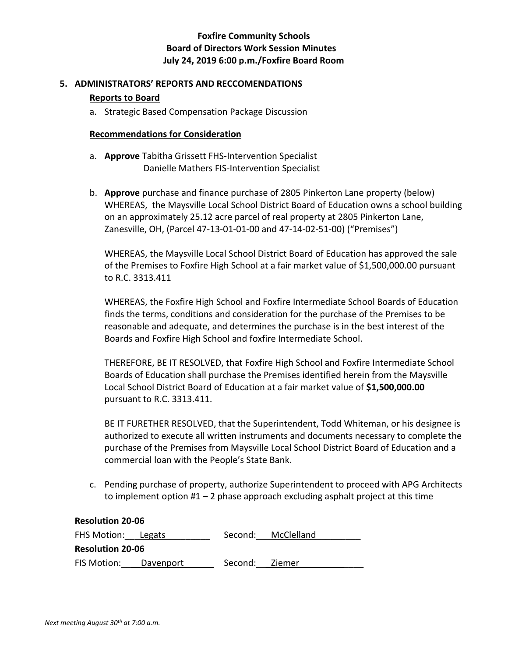# **Foxfire Community Schools Board of Directors Work Session Minutes July 24, 2019 6:00 p.m./Foxfire Board Room**

# **5. ADMINISTRATORS' REPORTS AND RECCOMENDATIONS Reports to Board**

a. Strategic Based Compensation Package Discussion

## **Recommendations for Consideration**

- a. **Approve** Tabitha Grissett FHS-Intervention Specialist Danielle Mathers FIS-Intervention Specialist
- b. **Approve** purchase and finance purchase of 2805 Pinkerton Lane property (below) WHEREAS, the Maysville Local School District Board of Education owns a school building on an approximately 25.12 acre parcel of real property at 2805 Pinkerton Lane, Zanesville, OH, (Parcel 47-13-01-01-00 and 47-14-02-51-00) ("Premises")

WHEREAS, the Maysville Local School District Board of Education has approved the sale of the Premises to Foxfire High School at a fair market value of \$1,500,000.00 pursuant to R.C. 3313.411

WHEREAS, the Foxfire High School and Foxfire Intermediate School Boards of Education finds the terms, conditions and consideration for the purchase of the Premises to be reasonable and adequate, and determines the purchase is in the best interest of the Boards and Foxfire High School and foxfire Intermediate School.

THEREFORE, BE IT RESOLVED, that Foxfire High School and Foxfire Intermediate School Boards of Education shall purchase the Premises identified herein from the Maysville Local School District Board of Education at a fair market value of **\$1,500,000.00** pursuant to R.C. 3313.411.

BE IT FURETHER RESOLVED, that the Superintendent, Todd Whiteman, or his designee is authorized to execute all written instruments and documents necessary to complete the purchase of the Premises from Maysville Local School District Board of Education and a commercial loan with the People's State Bank.

c. Pending purchase of property, authorize Superintendent to proceed with APG Architects to implement option #1 – 2 phase approach excluding asphalt project at this time

| <b>Resolution 20-06</b> |           |         |                    |  |  |
|-------------------------|-----------|---------|--------------------|--|--|
| FHS Motion: Legats      |           |         | Second: McClelland |  |  |
| <b>Resolution 20-06</b> |           |         |                    |  |  |
| FIS Motion:             | Davenport | Second: | – Ziemer           |  |  |